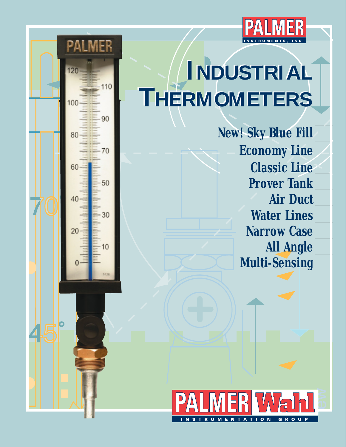

# **INDUSTRIAL INDUSTRIAL THERMOMETERS THERMOMETERS**

Palmer

90

70

50

30

 $10$ 

120

100

80

60

20

**New! Sky Blue Fill Economy Line Classic Line Prover Tank Air Duct Water Lines Narrow Case All Angle Multi-Sensing**

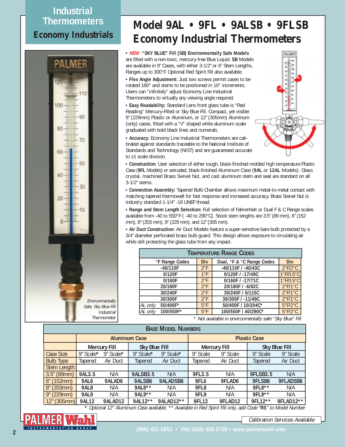## **Industrial Thermometers Economy Industrials**



Safe, Sky Blue Fill Industrial **Thermometer** 

# **Model 9AL • 9FL • 9ALSB • 9FLSB Economy Industrial Thermometers**

**• NEW "SKY BLUE" Fill (SB) Environmentally Safe Models** are filled with a non-toxic, mercury-free Blue Liquid. **SB** Models are available in 9" Cases, with either 3-1/2" or 6" Stem Lengths, Ranges up to 300°F. Optional Red Spirit Fill also available.

**• Flex Angle Adjustment:** Just two screws permit cases to be rotated 180° and stems to be positioned in 10° increments. Users can "infinitely" adjust Economy Line Industrial Thermometers to virtually any viewing angle required.

**• Easy Readability:** Standard Lens front glass tube is "Red Reading" Mercury-Filled or Sky Blue Fill. Compact, yet visible 9" (229mm) Plastic or Aluminum, or 12" (305mm) Aluminum (only) cases, fitted with a "V" shaped white aluminum scale graduated with bold black lines and numerals.

PALMER

**• Accuracy:** Economy Line Industrial Thermometers are calibrated against standards traceable to the National Institute of Standards and Technology (NIST) and are guaranteed accurate to ±1 scale division.

**• Construction:** User selection of either tough, black-finished molded high temperature Plastic Case (**9FL** Models) or extruded, black-finished Aluminum Case (**9AL** or **12AL** Models). Glass crystal, machined Brass Swivel Nut, and cast aluminum stem and seat are standard on all 3-1/2" stems.

**• Connection Assembly:** Tapered Bulb Chamber allows maximum metal-to-metal contact with matching tapered thermowell for fast response and increased accuracy. Brass Swivel Nut is industry standard 1-1/4" -18 UNEF thread.

**• Range and Stem Length Selection:** Full selection of Fahrenheit or Dual F & C Range scales available from -40 to 550°F ( -40 to 290°C). Stock stem lengths are 3.5" (89 mm), 6" (152 mm), 8" (203 mm), 9" (229 mm), and 12" (305 mm).

**• Air Duct Construction:** Air Duct Models feature a super-sensitive bare bulb protected by a 3/4" diameter perforated brass bulb guard. This design allows exposure to circulating air while still protecting the glass tube from any impact.

| <b>TEMPERATURE RANGE CODES</b>                                        |               |                     |                              |  |  |  |  |
|-----------------------------------------------------------------------|---------------|---------------------|------------------------------|--|--|--|--|
| <b>Div</b><br>Dual, °F & °C Range Codes<br><b>°F Range Codes</b>      |               |                     |                              |  |  |  |  |
| $-40/110F$                                                            | $2^{\circ}F$  | -40/110F / -40/43C  | $2^{\circ}F/2^{\circ}C$      |  |  |  |  |
| 0/120F                                                                | $1^{\circ}$ F | 0/120F / -17/49C    | 1°F/0.5°C                    |  |  |  |  |
| 0/160F                                                                | $2^{\circ}F$  | 0/160F / -17/71C    | $1^{\circ}F/0.5^{\circ}C$    |  |  |  |  |
| 20/180F                                                               | $2^{\circ}F$  | 20/180F / -6/82C    | $2^{\circ}F/1^{\circ}C$      |  |  |  |  |
| 30/240F                                                               | $2^{\circ}F$  | 30/240F / 0/115C    | $2^{\circ}$ F/1 $^{\circ}$ C |  |  |  |  |
| 30/300F                                                               | $2^{\circ}F$  | 30/300F / -11/49C   | $2^{\circ}F/1^{\circ}C$      |  |  |  |  |
| 50/400F*<br>AL only                                                   | $5^{\circ}F$  | 50/400F / 10/204C*  | $5^{\circ}F/2^{\circ}C$      |  |  |  |  |
| 100/550F*<br>AL only                                                  | $5^{\circ}$ F | 100/550F / 40/290C* | $5°$ F/2°C                   |  |  |  |  |
| $*$ Alet conditions in consideration and the code well as Direct Fill |               |                     |                              |  |  |  |  |

Not available in environmentally safe "Sky Blue" Fill

#### **BASE MODEL NUMBERS**

|                      | <b>Aluminum Case</b> |           |                 |                      | <b>Plastic Case</b> |                     |                 |                      |  |
|----------------------|----------------------|-----------|-----------------|----------------------|---------------------|---------------------|-----------------|----------------------|--|
|                      | <b>Mercury Fill</b>  |           |                 | <b>Sky Blue Fill</b> |                     | <b>Mercury Fill</b> |                 | <b>Sky Blue Fill</b> |  |
| Case Size            | 9" Scale*            | 9" Scale* | 9" Scale*       | 9" Scale*            | 9" Scale            | 9" Scale            | 9" Scale        | 9" Scale             |  |
| <b>Bulb Type</b>     | Tapered              | Air Duct  | Tapered         | Air Duct             | Tapered             | Air Duct            | Tapered         | Air Duct             |  |
| Stem Length:         |                      |           |                 |                      |                     |                     |                 |                      |  |
| $3.5^{\circ}$ (89mm) | 9AL3.5               | N/A       | <b>9ALSB3.5</b> | N/A                  | 9FL3.5              | N/A                 | <b>9FLSB3.5</b> | N/A                  |  |
| $6'$ (152mm)         | 9AL6                 | 9ALAD6    | 9ALSB6          | 9ALADSB6             | 9FL6                | 9FLAD6              | 9FLSB6          | 9FLADSB6             |  |
| $8'$ (203mm)         | 9AL <sub>8</sub>     | N/A       | 9AL8**          | N/A                  | 9FL8                | N/A                 | 9FL8**          | N/A                  |  |
| 9°(229mm)            | 9AL9                 | N/A       | 9AL9**          | N/A                  | 9FL9                | N/A                 | 9FL9**          | N/A                  |  |
| 12"<br>(305mm)       | <b>9AL12</b>         | 9ALAD12   | 9AL12**         | 9ALAD12**            | <b>9FL12</b>        | 9FLAD12             | 9FL12**         | 9FLAD12**            |  |

**\*** Optional 12" Aluminum Case available. \*\* Available in Red Spirit Fill only, add Code "**RS**" to Model Number

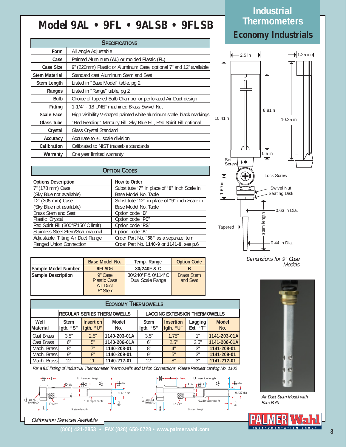## **Model 9AL • 9FL • 9ALSB • 9FLSB**

|                      | <b>SPECIFICATIONS</b>                                                 |
|----------------------|-----------------------------------------------------------------------|
| Form                 | All Angle Adjustable                                                  |
| Case                 | Painted Aluminum (AL) or molded Plastic (FL)                          |
| Case Size            | 9" (220mm) Plastic or Aluminum Case, optional 7" and 12" available    |
| <b>Stem Material</b> | Standard cast Aluminum Stem and Seat                                  |
| <b>Stem Length</b>   | Listed in "Base Model" table, pg 2                                    |
| Ranges               | Listed in "Range" table, pg 2                                         |
| <b>Bulb</b>          | Choice of tapered Bulb Chamber or perforated Air Duct design          |
| Fitting              | 1-1/4" - 18 UNEF machined Brass Swivel Nut                            |
| <b>Scale Face</b>    | High visibility V-shaped painted white aluminum scale, black markings |
| Glass Tube           | "Red Reading" Mercury Fill, Sky Blue Fill, Red Spirit Fill optional   |
| Crystal              | Glass Crystal Standard                                                |
| Accuracy             | Accurate to $\pm 1$ scale division                                    |
| Calibration          | Calibrated to NIST traceable standards                                |
| Warranty             | One year limited warranty                                             |

#### **OPTION CODES**

| <b>Options Description</b>          | How to Order                                  |
|-------------------------------------|-----------------------------------------------|
| 7" (178 mm) Case                    | Substitute "7" in place of "9" inch Scale in  |
| (Sky Blue not available)            | Base Model No. Table                          |
| 12" (305 mm) Case                   | Substitute "12" in place of "9" inch Scale in |
| (Sky Blue not available)            | Base Model No. Table                          |
| Brass Stem and Seat                 | Option code "B"                               |
| Plastic Crystal                     | Option code "PC"                              |
| Red Spirit Fill (300°F/150°C limit) | Option code "RS"                              |
| Stainless Steel Stem/Seat material  | Option code "S"                               |
| Adjustable, Tilting Air Duct Flange | Order Part No. "58" as a separate item        |
| <b>Flanged Union Connection</b>     | Order Part No. 1140-9 or 1141-9, see p.6      |

|                             | Base Model No.                                        | Temp. Range                            | <b>Option Code</b>            |
|-----------------------------|-------------------------------------------------------|----------------------------------------|-------------------------------|
| <b>ISample Model Number</b> | 9FLAD6                                                | 30/240F & C                            |                               |
| Sample Description          | 9" Case<br><b>Plastic Case</b><br>Air Duct<br>6" Stem | 30/240°F & 0/114°C<br>Dual Scale Range | <b>Brass Stem</b><br>and Seat |

| (UN) DIUC TIUL AVAIIANIC)<br>DASC INIUNCI INU. TANIC |                 |                                           |                                                                                                                 |                                          |                  |               |                                                                      |                                          |
|------------------------------------------------------|-----------------|-------------------------------------------|-----------------------------------------------------------------------------------------------------------------|------------------------------------------|------------------|---------------|----------------------------------------------------------------------|------------------------------------------|
| Option code "B"<br><b>Brass Stem and Seat</b>        |                 |                                           |                                                                                                                 |                                          |                  |               |                                                                      |                                          |
| Plastic Crystal<br>Option code "PC"                  |                 |                                           |                                                                                                                 |                                          |                  |               |                                                                      |                                          |
| Red Spirit Fill (300°F/150°C limit)                  |                 |                                           | Option code "RS"                                                                                                |                                          |                  |               |                                                                      | Tapered $-$                              |
| Stainless Steel Stem/Seat material                   |                 |                                           | Option code "S"                                                                                                 |                                          |                  |               |                                                                      |                                          |
| Adjustable, Tilting Air Duct Flange                  |                 |                                           |                                                                                                                 | Order Part No. "58" as a separate item   |                  |               |                                                                      |                                          |
| <b>Flanged Union Connection</b>                      |                 |                                           |                                                                                                                 | Order Part No. 1140-9 or 1141-9, see p.6 |                  |               |                                                                      |                                          |
|                                                      |                 |                                           |                                                                                                                 |                                          |                  |               |                                                                      |                                          |
|                                                      |                 |                                           | <b>Base Model No.</b>                                                                                           | Temp. Range                              |                  |               | <b>Option Code</b>                                                   |                                          |
| Sample Model Number                                  |                 |                                           | 9FLAD6                                                                                                          | 30/240F & C                              |                  |               | <sub>B</sub>                                                         |                                          |
| <b>Sample Description</b>                            |                 |                                           | 9" Case                                                                                                         | 30/240°F & 0/114°C                       |                  |               | <b>Brass Stem</b>                                                    |                                          |
|                                                      |                 |                                           | <b>Plastic Case</b>                                                                                             | Dual Scale Range                         |                  |               | and Seat                                                             |                                          |
|                                                      |                 |                                           | Air Duct<br>6" Stem                                                                                             |                                          |                  |               |                                                                      |                                          |
|                                                      |                 |                                           |                                                                                                                 |                                          |                  |               |                                                                      |                                          |
|                                                      |                 |                                           | <b>ECONOMY THERMOWELLS</b>                                                                                      |                                          |                  |               |                                                                      |                                          |
| <b>REGULAR SERIES THERMOWELLS</b>                    |                 |                                           |                                                                                                                 |                                          |                  |               | <b>LAGGING EXTENSION THERMOWELLS</b>                                 |                                          |
| Well                                                 | <b>Stem</b>     | <b>Insertion</b>                          | <b>Model</b>                                                                                                    | <b>Stem</b>                              | <b>Insertion</b> |               | Lagging                                                              | <b>Model</b>                             |
| <b>Material</b>                                      | lgth. "S"       | lgth. "U"                                 | No.                                                                                                             | lgth. "S"                                |                  | lgth. "U"     | Ext. "T"                                                             | No.                                      |
| Cast Brass                                           | 3.5"            | 2.5"                                      | 1140-203-01A                                                                                                    | 3.5"                                     |                  | 1.75"         | 1"                                                                   | 1141-203-01A                             |
| Cast Brass                                           | 6"              | 5"                                        | 1140-206-01A                                                                                                    | 6"                                       |                  | $2.5^{\circ}$ | 2.5"                                                                 | 1141-206-01A                             |
| Mach. Brass                                          | 8 <sup>n</sup>  | $\overline{7}$ "                          | 1140-208-01                                                                                                     | 8 <sup>n</sup>                           |                  | 4"            | 3 <sup>n</sup>                                                       | 1141-208-01                              |
| Mach. Brass                                          | 9"              | 8"                                        | 1140-209-01                                                                                                     | g"                                       |                  | 5"            | 3"                                                                   | 1141-209-01                              |
| Mach. Brass                                          | 12"             | 11"                                       |                                                                                                                 |                                          |                  |               |                                                                      |                                          |
|                                                      |                 |                                           | 1140-212-01                                                                                                     | 12"                                      |                  | 8"            | 3 <sup>n</sup>                                                       | 1141-212-01                              |
|                                                      |                 |                                           | For a full listing of Industrial Thermometer Thermowells and Union Connections, Please Request catalog No. 1100 |                                          |                  |               |                                                                      |                                          |
|                                                      |                 | - U insertion length -                    |                                                                                                                 |                                          |                  |               | ←T-++I ++ U insertion length -                                       |                                          |
|                                                      | $rD$ dia        | $\frac{-}{2^{1/2}}$<br>$\frac{21}{32}D$ + | $\frac{11}{16}$ dia.                                                                                            |                                          |                  |               | $\sqrt{D}$ dia $\sqrt{\frac{21}{32}}D$ $\left  \frac{21}{22}\right $ | $\sqrt{11}$                              |
|                                                      |                 |                                           | 0.437 dia                                                                                                       |                                          |                  |               |                                                                      | 0.                                       |
|                                                      |                 |                                           |                                                                                                                 |                                          |                  |               |                                                                      | Ŧ                                        |
| 8 NEF<br>HREAD<br>P NPT                              |                 | $\overline{0.180}$ taper per fit          | $\frac{3}{32}$                                                                                                  | $1\frac{1}{4}$ -18 NEF<br>THREAD         |                  | P NPT         |                                                                      | $0.180$ taper per fit<br>$-\frac{3}{32}$ |
| $\frac{5}{8}$                                        | - S stem length |                                           |                                                                                                                 | $\frac{5}{8}$                            |                  |               | - S stem length                                                      |                                          |
| <b>Calibration Services Available</b>                |                 |                                           |                                                                                                                 |                                          |                  |               |                                                                      |                                          |





# **Industrial Thermometers**

### **Economy Industrials**



Dimensions for 9" Case Models



Air Duct Stem Model with Bare Bulb

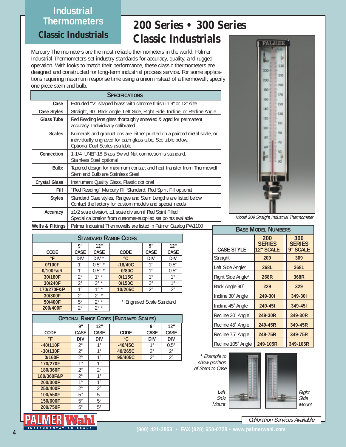## **Industrial Thermometers**

#### **Classic Industrials**

# **200 Series • 300 Series Classic Industrials**

Mercury Thermometers are the most reliable thermometers in the world. Palmer Industrial Thermometers set industry standards for accuracy, quality, and rugged operation. With looks to match their performance, these classic thermometers are designed and constructed for long-term industrial process service. For some applications requiring maximum response time using a union instead of a thermowell, specify one piece stem and bulb.

|                      | <b>SPECIFICATIONS</b>                                                                                                                                                     |  |  |  |  |  |  |
|----------------------|---------------------------------------------------------------------------------------------------------------------------------------------------------------------------|--|--|--|--|--|--|
| Case                 | Extruded "V" shaped brass with chrome finish in 9" or 12" size                                                                                                            |  |  |  |  |  |  |
| <b>Case Styles</b>   | Straight, 90° Back Angle, Left Side, Right Side, Incline, or Recline Angle                                                                                                |  |  |  |  |  |  |
| Glass Tube           | Red Reading lens glass thoroughly annealed & aged for permanent<br>accuracy. Individually calibrated.                                                                     |  |  |  |  |  |  |
| <b>Scales</b>        | Numerals and graduations are either printed on a painted metal scale, or<br>individually engraved for each glass tube. See table below.<br>Optional Dual Scales available |  |  |  |  |  |  |
| Connection           | 1-1/4" UNEF-18 Brass Swivel Nut connection is standard.<br>Stainless Steel optional                                                                                       |  |  |  |  |  |  |
| Bulb:                | Tapered design for maximum contact and heat transfer from Thermowell<br>Stem and Bulb are Stainless Steel                                                                 |  |  |  |  |  |  |
| <b>Crystal Glass</b> | Instrument Quality Glass, Plastic optional                                                                                                                                |  |  |  |  |  |  |
| Fill                 | "Red Reading" Mercury Fill Standard, Red Spirit Fill optional                                                                                                             |  |  |  |  |  |  |
| <b>Styles</b>        | Standard Case styles, Ranges and Stem Lengths are listed below<br>Contact the factory for custom models and special needs                                                 |  |  |  |  |  |  |
| Accuracy             | $\pm$ 1/2 scale division, $\pm$ 1 scale division if Red Spirit Filled.<br>Special calibration from customer-supplied set points available                                 |  |  |  |  |  |  |
| Wells & Fittings     | Palmer Industrial Thermowells are listed in Palmer Catalog PW1100                                                                                                         |  |  |  |  |  |  |



Model 209 Straight Industrial Thermometer

| <b>STANDARD RANGE CODES</b> |             |                 |                           |             |             |  |  |  |
|-----------------------------|-------------|-----------------|---------------------------|-------------|-------------|--|--|--|
|                             | g"          | 12"             |                           | g"          | 12"         |  |  |  |
| <b>CODE</b>                 | <b>CASE</b> | <b>CASE</b>     | CODE                      | <b>CASE</b> | <b>CASE</b> |  |  |  |
| $\circ$ F                   | DIV         | DIV $*$         | $^{\circ}$ C              | DIV         | <b>DIV</b>  |  |  |  |
| 0/100F                      | $1^{\circ}$ | $0.5^{\circ}$ * | $-18/40C$                 | $1^{\circ}$ | $0.5^\circ$ |  |  |  |
| 0/100F&R                    | $1^{\circ}$ | $0.5^{\circ}$ * | 0/80C                     | $1^{\circ}$ | $0.5^\circ$ |  |  |  |
| 30/180F                     | $2^{\circ}$ | $1^{\circ}$ *   | 0/115C                    | $1^{\circ}$ | $1^{\circ}$ |  |  |  |
| 30/240F                     | 2۰          | $2^{\circ}$ *   | 0/150C                    | $2^{\circ}$ | $1^{\circ}$ |  |  |  |
| 170/270F&P                  | $1^{\circ}$ | 10x             | 10/205C                   | $2^{\circ}$ | $2^{\circ}$ |  |  |  |
| 30/300F                     | 2۰          | $2^{\circ}$ *   |                           |             |             |  |  |  |
| 50/400F                     | 5°          | $2^{\circ}$ *   | * Engraved Scale Standard |             |             |  |  |  |
| 200/400F                    | つ。          | $2^{\circ}$ *   |                           |             |             |  |  |  |

| <b>OPTIONAL RANGE CODES (ENGRAVED SCALES)</b> |             |             |              |             |             |  |  |  |
|-----------------------------------------------|-------------|-------------|--------------|-------------|-------------|--|--|--|
|                                               | <b>g</b> "  | 12"         |              | <b>g</b> "  | 12"         |  |  |  |
| <b>CODE</b>                                   | <b>CASE</b> | <b>CASE</b> | <b>CODE</b>  | <b>CASE</b> | <b>CASE</b> |  |  |  |
| $\circ$ F                                     | DIV         | <b>DIV</b>  | $^{\circ}$ C | DIV         | <b>DIV</b>  |  |  |  |
| $-40/110F$                                    | $2^{\circ}$ | $1^{\circ}$ | $-40/45C$    | $1^{\circ}$ | $0.5^\circ$ |  |  |  |
| $-30/130F$                                    | $2^{\circ}$ | $1^{\circ}$ | 40/265C      | $2^{\circ}$ | $2^{\circ}$ |  |  |  |
| 0/160F                                        | $2^{\circ}$ | $1^{\circ}$ | 95/405C      | $2^{\circ}$ | $2^{\circ}$ |  |  |  |
| 170/270F                                      | $1^{\circ}$ | $1^{\circ}$ |              |             |             |  |  |  |
| 180/360F                                      | $2^{\circ}$ | $2^{\circ}$ |              |             |             |  |  |  |
| 180/360F&P                                    | $2^{\circ}$ | $1^{\circ}$ |              |             |             |  |  |  |
| 200/300F                                      | $1^{\circ}$ | $1^{\circ}$ |              |             |             |  |  |  |
| 250/400F                                      | $2^{\circ}$ | $2^{\circ}$ |              |             |             |  |  |  |
| 100/550F                                      | $5^{\circ}$ | $5^{\circ}$ |              |             |             |  |  |  |
| 150/600F                                      | $5^{\circ}$ | $5^{\circ}$ |              |             |             |  |  |  |
| 200/750F                                      | $5^{\circ}$ | $5^{\circ}$ |              |             |             |  |  |  |

| <b>BASE MODEL NUMBERS</b> |                                          |  |                                  |  |  |
|---------------------------|------------------------------------------|--|----------------------------------|--|--|
| <b>CASE STYLE</b>         | 200<br><b>SERIES</b><br><b>12" SCALE</b> |  | 300<br><b>SERIES</b><br>9" SCALE |  |  |
| Straight                  | 209                                      |  | 309                              |  |  |
| Left Side Angle*          | 268L                                     |  | 368L                             |  |  |
| Right Side Angle*         | 268R                                     |  | 368R                             |  |  |
| Back Angle 90°            | 229                                      |  | 329                              |  |  |
| Incline 30° Angle         | 249-301                                  |  | 349-301                          |  |  |
| Incline 45° Angle         | 249-45I                                  |  | 349-451                          |  |  |
| Recline 30° Angle         | 249-30R                                  |  | 349-30R                          |  |  |
| Recline 45° Angle         | 249-45R                                  |  | 349-45R                          |  |  |
| Recline 75° Angle         | 249-75R                                  |  | 349-75R                          |  |  |
| Recline 105° Angle        | 249-105R                                 |  | 349-105R                         |  |  |

\* Example to show position of Stem to Case

> Left Side **Mount**



Calibration Services Available

**(800) 421-2853 • FAX (828) 658-0728 • www.palmerwahl.com**

**4**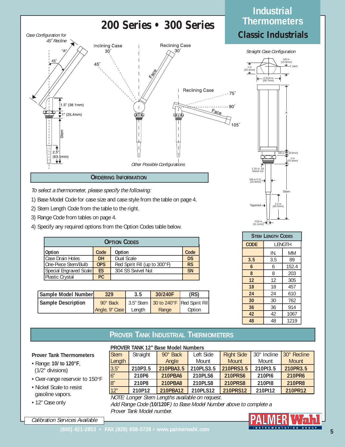

To select a thermometer, please specify the following:

- 1) Base Model Code for case size and case style from the table on page 4.
- 2) Stem Length Code from the table to the right.
- 3) Range Code from tables on page 4.
- 4) Specify any required options from the Option Codes table below.

| <b>OPTION CODES</b>              |            |                               |           |  |  |  |
|----------------------------------|------------|-------------------------------|-----------|--|--|--|
| Option<br>Code<br>Code<br>Option |            |                               |           |  |  |  |
| Case Drain Holes                 | DH.        | Dual Scale                    | <b>DS</b> |  |  |  |
| IOne-Piece Stem/Bulb             | <b>OPS</b> | Red Spirit Fill (up to 300°F) | <b>RS</b> |  |  |  |
| Special Engraved Scale           | <b>ES</b>  | 304 SS Swivel Nut             | <b>SN</b> |  |  |  |
| Plastic Crystal                  | PC.        |                               |           |  |  |  |

| Sample Model Number | 329            | 3.5    | 30/240F                               | (RS)   |
|---------------------|----------------|--------|---------------------------------------|--------|
| Sample Description  | 90° Back       |        | 3.5" Stem 30 to 240°F Red Spirit Fill |        |
|                     | Angle, 9" Case | Lenath | Range                                 | Option |



**Industrial**



| <b>STEM LENGTH CODES</b> |            |        |  |  |
|--------------------------|------------|--------|--|--|
| <b>CODE</b>              |            | LENGTH |  |  |
|                          | IN.        | МM     |  |  |
| 3.5                      | 3.5        | 89     |  |  |
| 6                        | 6          | 152.4  |  |  |
| 8                        | 8          | 203    |  |  |
| 12                       | 12         | 305    |  |  |
| 18                       | 18         | 457    |  |  |
| 24                       | 24         | 610    |  |  |
| 30                       | 30<br>762  |        |  |  |
| 36                       | 36         | 914    |  |  |
| 42                       | 1067<br>42 |        |  |  |
| 48                       | 48         | 1219   |  |  |

#### **PROVER TANK INDUSTRIAL THERMOMETERS**

**PROVER TANK 12" Base Model Numbers**

#### **Prover Tank Thermometers**

- Range: **10/ to 120°F**, (1/2° divisions)
- Over-range reservoir to 150°F
- Nickel Scale to resist gasoline vapors.
- 12" Case only

|                | FRUVER TAINN IZ DASE MUUT NUITIDELS |                |           |                   |             |                     |  |
|----------------|-------------------------------------|----------------|-----------|-------------------|-------------|---------------------|--|
| <b>Stem</b>    | Straight                            | 90° Back       | Left Side | <b>Right Side</b> | 30° Incline | $130^\circ$ Recline |  |
| Length         |                                     | Angle          | Mount     | Mount             | Mount       | <b>Mount</b>        |  |
| 3.5''          | 210P3.5                             | 210PBA3.5      | 210PLS3.5 | 210PRS3.5         | 210PI3.5    | 210PR3.5            |  |
| 6"             | 210P6                               | 210PBA6        | 210PLS6   | <b>210PRS6</b>    | 210Pl6      | 210PR6              |  |
| 8 <sup>n</sup> | 210P8                               | <b>210PBA8</b> | 210PLS8   | <b>210PRS8</b>    | 210PI8      | 210PR8              |  |
| 12"            | 210P12                              | 210PBA12       | 210PLS12  | 210PRS12          | 210PI12     | 210PR12             |  |

NOTE: Longer Stem Lengths available on request.

Add Range Code (**10/120F**) to Base Model Number above to complete a Prover Tank Model number.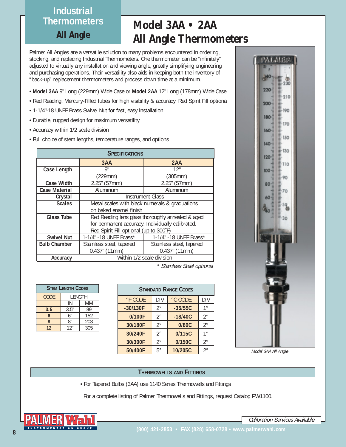## **Industrial Thermometers**

**All Angle**

# **Model 3AA • 2AA All Angle Thermometers**

Palmer All Angles are a versatile solution to many problems encountered in ordering, stocking, and replacing Industrial Thermometers. One thermometer can be "infinitely" adjusted to virtually any installation and viewing angle, greatly simplifying engineering and purchasing operations. Their versatility also aids in keeping both the inventory of "back-up" replacement thermometers and process down time at a minimum.

- **Model 3AA** 9" Long (229mm) Wide Case or **Model 2AA** 12" Long (178mm) Wide Case
- Red Reading, Mercury-Filled tubes for high visibility & accuracy, Red Spirit Fill optional
- 1-1/4"-18 UNEF Brass Swivel Nut for fast, easy installation
- Durable, rugged design for maximum versatility
- Accuracy within 1/2 scale division
- Full choice of stem lengths, temperature ranges, and options

| <b>SPECIFICATIONS</b> |                                                   |                          |  |  |  |
|-----------------------|---------------------------------------------------|--------------------------|--|--|--|
|                       | 3AA                                               | 2AA                      |  |  |  |
| Case Length           | 9"                                                | 12"                      |  |  |  |
|                       | (229mm)                                           | (305mm)                  |  |  |  |
| <b>Case Width</b>     | 2.25" (57mm)                                      | 2.25" (57mm)             |  |  |  |
| <b>Case Material</b>  | Aluminum                                          | Aluminum                 |  |  |  |
| Crystal               | <b>Instrument Glass</b>                           |                          |  |  |  |
| <b>Scales</b>         | Metal scales with black numerals & graduations    |                          |  |  |  |
|                       | on baked enamel finish                            |                          |  |  |  |
| <b>Glass Tube</b>     | Red Reading lens glass thoroughly annealed & aged |                          |  |  |  |
|                       | for permanent accuracy. Individually calibrated.  |                          |  |  |  |
|                       | Red Spirit Fill optional (up to 300°F)            |                          |  |  |  |
| <b>Swivel Nut</b>     | 1-1/4" -18 UNEF Brass*<br>1-1/4" -18 UNEF Brass*  |                          |  |  |  |
| <b>Bulb Chamber</b>   | Stainless steel, tapered                          | Stainless steel, tapered |  |  |  |
|                       | $0.437$ " (11mm)<br>$0.437$ " (11mm)              |                          |  |  |  |
| Accuracy              | Within 1/2 scale division                         |                          |  |  |  |

\* Stainless Steel optional

| <b>STEM LENGTH CODES</b> |          |     |  |  |
|--------------------------|----------|-----|--|--|
| <b>CODE</b>              | LENGTH   |     |  |  |
|                          | IN<br>МM |     |  |  |
| 3.5                      | 3.5"     | 89  |  |  |
| 6                        | 6"       | 152 |  |  |
| 8                        | 8"       | 203 |  |  |
| 12                       | 12"      | 305 |  |  |

| <b>STANDARD RANGE CODES</b> |             |           |             |  |
|-----------------------------|-------------|-----------|-------------|--|
| °F CODE                     | <b>DIV</b>  | °C CODE   | <b>DIV</b>  |  |
| $-30/130F$                  | $2^{\circ}$ | $-35/55C$ | $1^{\circ}$ |  |
| 0/100F                      | $2^{\circ}$ | $-18/40C$ | $2^{\circ}$ |  |
| 30/180F                     | $2^{\circ}$ | 0/80C     | $2^{\circ}$ |  |
| 30/240F                     | $2^{\circ}$ | 0/115C    | $1^{\circ}$ |  |
| 30/300F                     | $2^{\circ}$ | 0/150C    | $2^{\circ}$ |  |
| 50/400F                     | 5°          | 10/205C   | $2^{\circ}$ |  |



Model 3AA All Angle

#### **THERMOWELLS AND FITTINGS**

• For Tapered Bulbs (3AA) use 1140 Series Thermowells and Fittings

For a complete listing of Palmer Thermowells and Fittings, request Catalog PW1100.

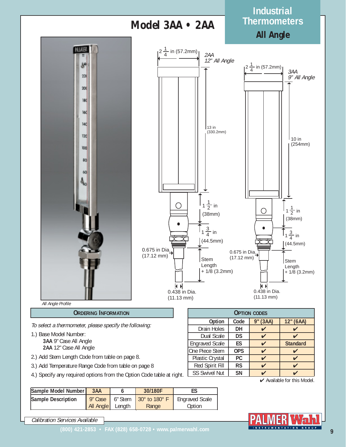

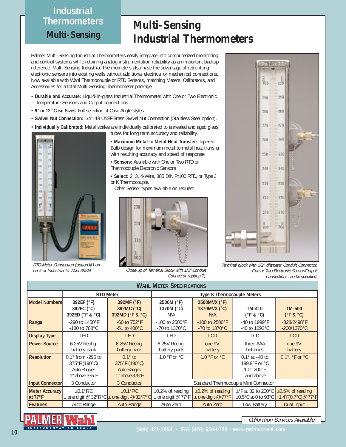## **Industrial Thermometers Multi-Sensing**

## **Multi-Sensing Industrial Thermometers**

Palmer Multi-Sensing Industrial Thermometers easily integrate into computerized monitoring and control systems while retaining analog instrumentation reliability as an important backup reference. Multi-Sensing Industrial Thermometers also have the advantage of retrofitting electronic sensors into existing wells without additional electrical or mechanical connections. Now available with Wahl Thermocouple or RTD Sensors, matching Meters, Calibrators, and Accessories for a total Multi-Sensing Thermometer package.

- **Durable and Accurate:** Liquid-in-glass Industrial Thermometer with One or Two Electronic Temperature Sensors and Output connections.
- **9" or 12" Case Sizes:** Full selection of Case Angle styles.
- **Swivel Nut Connection:** 1/4" -18 UNEF Brass Swivel Nut Connection (Stainless Steel option).
- **Individually Calibrated:** Metal scales are individually calibrated to annealed and aged glass tubes for long term accuracy and reliability.
- 

RTD Meter Connection (option **M**) on back of Industrial to Wahl 392M

- **Maximum Metal to Metal Heat Transfer:** Tapered Bulb design for maximum metal to metal heat transfer with resulting accuracy and speed of response.
- **Sensors:** Available with One or Two RTD or Thermocouple Electronic Sensors
- **Select:** 2, 3, 4-Wire, 385 DIN Pt100 RTD, or Type J or K Thermocouple.

Other Sensor types available on request.



Close-up of Terminal Block with 1/2" Conduit Connector (option **T**).



Terminal block with 1/2" diameter Conduit Connector. One or Two Electronic Sensor/Output Connections can be specified.

| <b>WAHL METER SPECIFICATIONS</b>           |                                                                                   |                                                                         |                                                          |                                                          |                                                                                       |                                              |  |
|--------------------------------------------|-----------------------------------------------------------------------------------|-------------------------------------------------------------------------|----------------------------------------------------------|----------------------------------------------------------|---------------------------------------------------------------------------------------|----------------------------------------------|--|
|                                            |                                                                                   | <b>RTD Meter</b>                                                        |                                                          | <b>Type K Thermocouple Meters</b>                        |                                                                                       |                                              |  |
| <b>Model Numbers</b>                       | 392EF $(°F)$<br>392EC (°C)<br>392ED (°F & °C)                                     | $392MF$ ( $\degree$ F)<br>392MC (°C)<br>392MD (°F & °C)                 | 2500M (°F)<br>1370M (°C)<br>N/A                          | 2500MVX (°F)<br>1370MVX (°C)<br>N/A                      | TM-410<br>$(^{\circ}F$ & $^{\circ}C)$                                                 | <b>TM-500</b><br>$(^{\circ}F$ & $^{\circ}C)$ |  |
| Range                                      | -290 to 1450°F<br>$-180$ to $788^{\circ}$ C                                       | $-60$ to $752^{\circ}F$<br>$-51$ to $400^{\circ}$ C                     | $-100$ to 2500 $\degree$ F<br>$-70$ to 1370 $^{\circ}$ C | $-100$ to 2500 $\degree$ F<br>$-70$ to 1370 $^{\circ}$ C | -40 to 1999°F<br>$-40$ to $1092^{\circ}$ C                                            | -328/2498°F<br>$-200/1370^{\circ}$ C         |  |
| <b>Display Type</b>                        | LED                                                                               | <b>LED</b>                                                              | LED                                                      | <b>LCD</b>                                               | <b>LCD</b>                                                                            | <b>LCD</b>                                   |  |
| <b>Power Source</b>                        | 6.25V Rechg.<br>battery pack                                                      | 6.25V Rechq.<br>battery pack                                            | 6.25V Rechg.<br>battery pack                             | one 9V.<br>battery                                       | three AAA<br>batteries                                                                | one 9V.<br>battery                           |  |
| <b>Resolution</b>                          | $0.1^\circ$ from -290 to<br>375°F (190°C)<br><b>Auto Ranges</b><br>1° above 375°F | $0.1^\circ$ to<br>375°F (190°C)<br><b>Auto Ranges</b><br>1° above 375°F | 1.0 $\degree$ F or $\degree$ C                           | 1.0 $\degree$ F or $\degree$ C                           | $0.1^\circ$ at -40 to<br>199.9°F or °C<br>$1.0^{\circ}$ 200 $^{\circ}$ F<br>and above | $0.1^\circ$ , $^\circ$ F or $^\circ$ C       |  |
| <b>Input Connector</b>                     | 3 Conductor                                                                       | 3 Conductor                                                             | Standard Thermocouple Mini Connector                     |                                                          |                                                                                       |                                              |  |
| <b>Meter Accuracy</b><br>at $77^{\circ}$ F | $\pm$ 0.1°F/C                                                                     | $\pm 0.1$ °F/C<br>$\pm$ one digit @ 32°F/°C $\pm$ one digit @ 32°F/°C   | $±0.2\%$ of reading<br>$±$ one digit @ 77°F              | $±0.2\%$ of reading<br>$\pm$ one digit @ 77°F            | $\pm$ °F at 32 to 200°C $\pm$ 0.5% of reading                                         | ±0.5°C at 0 to 93°C +1.4°F(0.7°C)@ 77°F      |  |
| <b>Features</b>                            | Auto Range                                                                        | <b>Auto Range</b>                                                       | Auto Zero                                                | Auto Zero                                                | Low Battery                                                                           | Dual Input                                   |  |